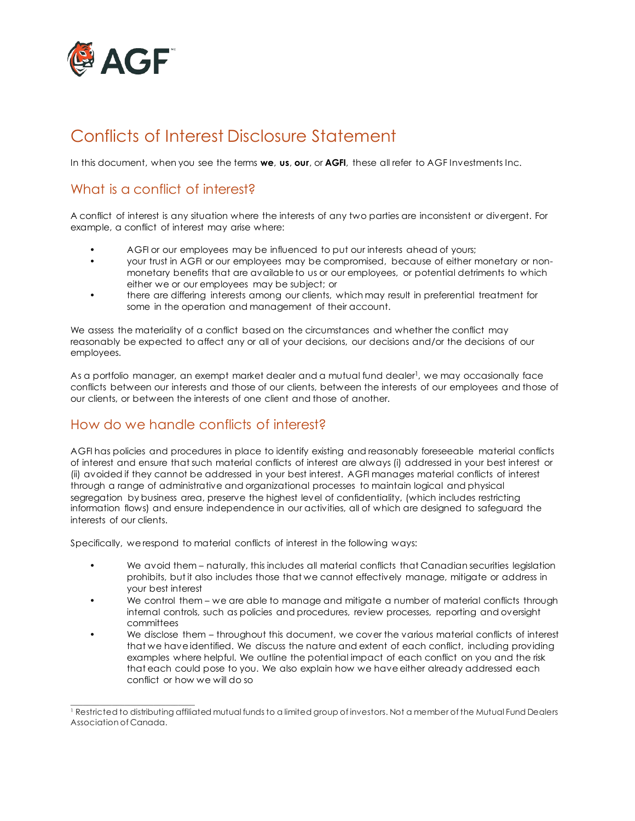

# Conflicts of Interest Disclosure Statement

In this document, when you see the terms **we**, **us**, **our**, or **AGFI**, these all refer to AGF Investments Inc.

# What is a conflict of interest?

A conflict of interest is any situation where the interests of any two parties are inconsistent or divergent. For example, a conflict of interest may arise where:

- AGFI or our employees may be influenced to put our interests ahead of yours;
- your trust in AGFI or our employees may be compromised, because of either monetary or nonmonetary benefits that are available to us or our employees, or potential detriments to which either we or our employees may be subject; or
- there are differing interests among our clients, which may result in preferential treatment for some in the operation and management of their account.

We assess the materiality of a conflict based on the circumstances and whether the conflict may reasonably be expected to affect any or all of your decisions, our decisions and/or the decisions of our employees.

As a portfolio manager, an exempt market dealer and a mutual fund dealer<sup>1</sup>, we may occasionally face conflicts between our interests and those of our clients, between the interests of our employees and those of our clients, or between the interests of one client and those of another.

#### How do we handle conflicts of interest?

AGFI has policies and procedures in place to identify existing and reasonably foreseeable material conflicts of interest and ensure that such material conflicts of interest are always (i) addressed in your best interest or (ii) avoided if they cannot be addressed in your best interest. AGFI manages material conflicts of interest through a range of administrative and organizational processes to maintain logical and physical segregation by business area, preserve the highest level of confidentiality, (which includes restricting information flows) and ensure independence in our activities, all of which are designed to safeguard the interests of our clients.

Specifically, we respond to material conflicts of interest in the following ways:

- We avoid them naturally, this includes all material conflicts that Canadian securities legislation prohibits, but it also includes those that we cannot effectively manage, mitigate or address in your best interest
- We control them we are able to manage and mitigate a number of material conflicts through internal controls, such as policies and procedures, review processes, reporting and oversight committees
- We disclose them throughout this document, we cover the various material conflicts of interest that we have identified. We discuss the nature and extent of each conflict, including providing examples where helpful. We outline the potential impact of each conflict on you and the risk that each could pose to you. We also explain how we have either already addressed each conflict or how we will do so

\_\_\_\_\_\_\_\_\_\_\_\_\_\_\_\_\_\_\_\_\_\_\_\_\_\_\_\_\_\_ <sup>1</sup> Restricted to distributing affiliated mutual funds to a limited group of investors. Not a member of the Mutual Fund Dealers Association of Canada.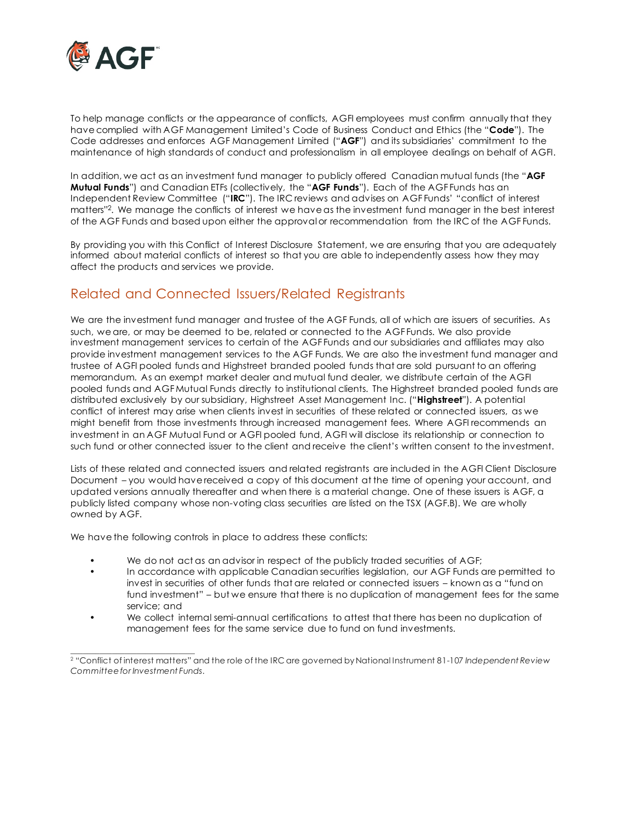

To help manage conflicts or the appearance of conflicts, AGFI employees must confirm annually that they have complied with AGF Management Limited's Code of Business Conduct and Ethics (the "**Code**"). The Code addresses and enforces AGF Management Limited ("**AGF**") and its subsidiaries' commitment to the maintenance of high standards of conduct and professionalism in all employee dealings on behalf of AGFI.

In addition, we act as an investment fund manager to publicly offered Canadian mutual funds (the "**AGF Mutual Funds**") and Canadian ETFs (collectively, the "**AGF Funds**"). Each of the AGF Funds has an Independent Review Committee ("**IRC**"). The IRC reviews and advises on AGF Funds' "conflict of interest matters"2. We manage the conflicts of interest we have as the investment fund manager in the best interest of the AGF Funds and based upon either the approval or recommendation from the IRC of the AGF Funds.

By providing you with this Conflict of Interest Disclosure Statement, we are ensuring that you are adequately informed about material conflicts of interest so that you are able to independently assess how they may affect the products and services we provide.

#### Related and Connected Issuers/Related Registrants

We are the investment fund manager and trustee of the AGF Funds, all of which are issuers of securities. As such, we are, or may be deemed to be, related or connected to the AGF Funds. We also provide investment management services to certain of the AGF Funds and our subsidiaries and affiliates may also provide investment management services to the AGF Funds. We are also the investment fund manager and trustee of AGFI pooled funds and Highstreet branded pooled funds that are sold pursuant to an offering memorandum. As an exempt market dealer and mutual fund dealer, we distribute certain of the AGFI pooled funds and AGF Mutual Funds directly to institutional clients. The Highstreet branded pooled funds are distributed exclusively by our subsidiary, Highstreet Asset Management Inc. ("**Highstreet**"). A potential conflict of interest may arise when clients invest in securities of these related or connected issuers, as we might benefit from those investments through increased management fees. Where AGFI recommends an investment in an AGF Mutual Fund or AGFI pooled fund, AGFI will disclose its relationship or connection to such fund or other connected issuer to the client and receive the client's written consent to the investment.

Lists of these related and connected issuers and related registrants are included in the AGFI Client Disclosure Document – you would have received a copy of this document at the time of opening your account, and updated versions annually thereafter and when there is a material change. One of these issuers is AGF, a publicly listed company whose non-voting class securities are listed on the TSX (AGF.B). We are wholly owned by AGF.

We have the following controls in place to address these conflicts:

- We do not act as an advisor in respect of the publicly traded securities of AGF;
- In accordance with applicable Canadian securities legislation, our AGF Funds are permitted to invest in securities of other funds that are related or connected issuers – known as a "fund on fund investment" – but we ensure that there is no duplication of management fees for the same service; and
- We collect internal semi-annual certifications to attest that there has been no duplication of management fees for the same service due to fund on fund investments.

\_\_\_\_\_\_\_\_\_\_\_\_\_\_\_\_\_\_\_\_\_\_\_\_\_\_\_\_\_\_ <sup>2</sup> "Conflict of interest matters" and the role of the IRC are governed by National Instrument 81-107 *Independent Review Committee for Investment Funds*.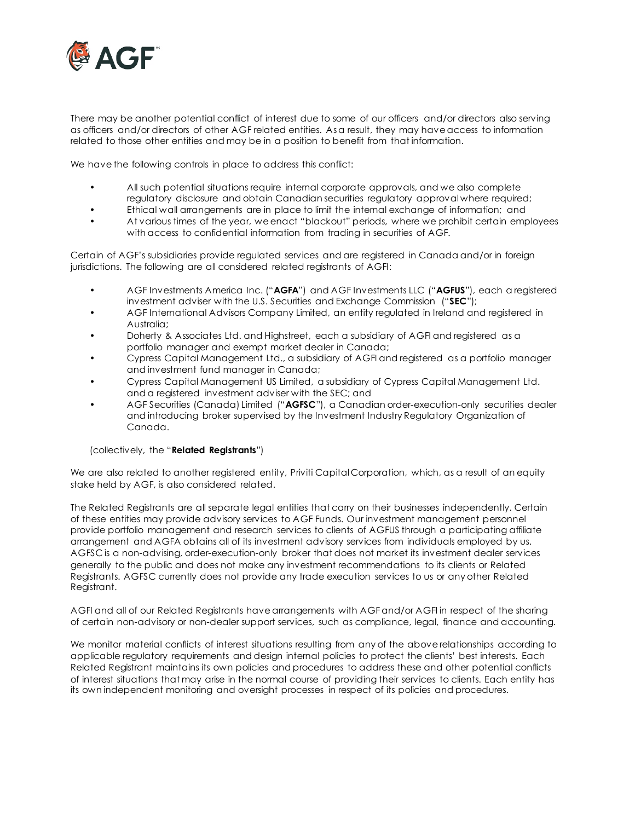

There may be another potential conflict of interest due to some of our officers and/or directors also serving as officers and/or directors of other AGF related entities. As a result, they may have access to information related to those other entities and may be in a position to benefit from that information.

We have the following controls in place to address this conflict:

- All such potential situations require internal corporate approvals, and we also complete regulatory disclosure and obtain Canadian securities regulatory approval where required;
- Ethical wall arrangements are in place to limit the internal exchange of information; and
- At various times of the year, we enact "blackout" periods, where we prohibit certain employees with access to confidential information from trading in securities of AGF.

Certain of AGF's subsidiaries provide regulated services and are registered in Canada and/or in foreign jurisdictions. The following are all considered related registrants of AGFI:

- AGF Investments America Inc. ("**AGFA**") and AGF Investments LLC ("**AGFUS**"), each a registered investment adviser with the U.S. Securities and Exchange Commission ("**SEC**");
- AGF International Advisors Company Limited, an entity regulated in Ireland and registered in Australia;
- Doherty & Associates Ltd. and Highstreet, each a subsidiary of AGFI and registered as a portfolio manager and exempt market dealer in Canada;
- Cypress Capital Management Ltd., a subsidiary of AGFI and registered as a portfolio manager and investment fund manager in Canada;
- Cypress Capital Management US Limited, a subsidiary of Cypress Capital Management Ltd. and a registered investment adviser with the SEC; and
- AGF Securities (Canada) Limited ("**AGFSC**"), a Canadian order-execution-only securities dealer and introducing broker supervised by the Investment Industry Regulatory Organization of Canada.

#### (collectively, the "**Related Registrants**")

We are also related to another registered entity, Priviti Capital Corporation, which, as a result of an equity stake held by AGF, is also considered related.

The Related Registrants are all separate legal entities that carry on their businesses independently. Certain of these entities may provide advisory services to AGF Funds. Our investment management personnel provide portfolio management and research services to clients of AGFUS through a participating affiliate arrangement and AGFA obtains all of its investment advisory services from individuals employed by us. AGFSC is a non-advising, order-execution-only broker that does not market its investment dealer services generally to the public and does not make any investment recommendations to its clients or Related Registrants. AGFSC currently does not provide any trade execution services to us or any other Related Registrant.

AGFI and all of our Related Registrants have arrangements with AGF and/or AGFI in respect of the sharing of certain non-advisory or non-dealer support services, such as compliance, legal, finance and accounting.

We monitor material conflicts of interest situations resulting from any of the above relationships according to applicable regulatory requirements and design internal policies to protect the clients' best interests. Each Related Registrant maintains its own policies and procedures to address these and other potential conflicts of interest situations that may arise in the normal course of providing their services to clients. Each entity has its own independent monitoring and oversight processes in respect of its policies and procedures.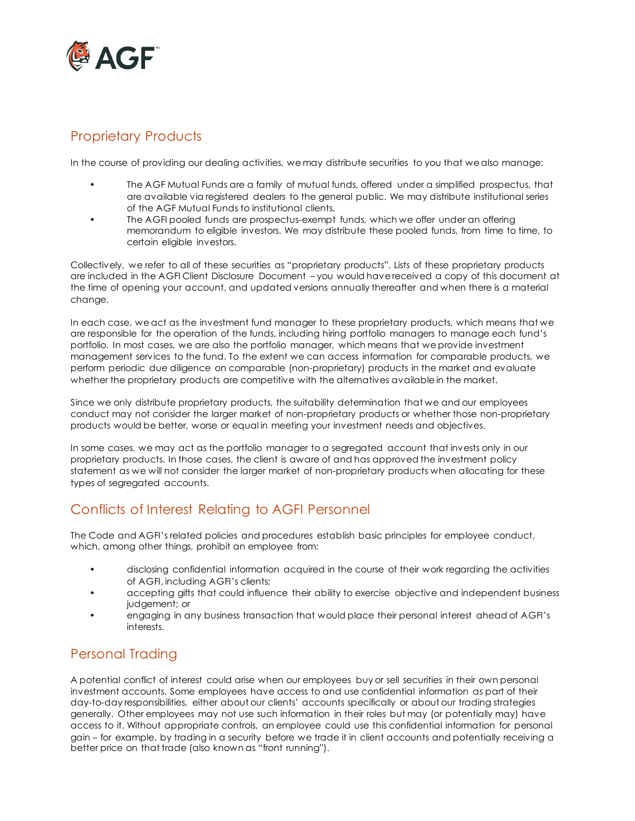

# Proprietary Products

In the course of providing our dealing activities, we may distribute securities to you that we also manage:

- The AGF Mutual Funds are a family of mutual funds, offered under a simplified prospectus, that are available via registered dealers to the general public. We may distribute institutional series of the AGF Mutual Funds to institutional clients.
- The AGFI pooled funds are prospectus-exempt funds, which we offer under an offering memorandum to eligible investors. We may distribute these pooled funds, from time to time, to certain eligible investors.

Collectively, we refer to all of these securities as "proprietary products". Lists of these proprietary products are included in the AGFI Client Disclosure Document – you would have received a copy of this document at the time of opening your account, and updated versions annually thereafter and when there is a material change.

In each case, we act as the investment fund manager to these proprietary products, which means that we are responsible for the operation of the funds, including hiring portfolio managers to manage each fund's portfolio. In most cases, we are also the portfolio manager, which means that we provide investment management services to the fund. To the extent we can access information for comparable products, we perform periodic due diligence on comparable (non-proprietary) products in the market and evaluate whether the proprietary products are competitive with the alternatives available in the market.

Since we only distribute proprietary products, the suitability determination that we and our employees conduct may not consider the larger market of non-proprietary products or whether those non-proprietary products would be better, worse or equal in meeting your investment needs and objectives.

In some cases, we may act as the portfolio manager to a segregated account that invests only in our proprietary products. In those cases, the client is aware of and has approved the investment policy statement as we will not consider the larger market of non-proprietary products when allocating for these types of segregated accounts.

# Conflicts of Interest Relating to AGFI Personnel

The Code and AGFI's related policies and procedures establish basic principles for employee conduct, which, among other things, prohibit an employee from:

- disclosing confidential information acquired in the course of their work regarding the activities of AGFI, including AGFI's clients;
- accepting gifts that could influence their ability to exercise objective and independent business judgement; or
- engaging in any business transaction that would place their personal interest ahead of AGFI's interests.

# Personal Trading

A potential conflict of interest could arise when our employees buy or sell securities in their own personal investment accounts. Some employees have access to and use confidential information as part of their day-to-day responsibilities, either about our clients' accounts specifically or about our trading strategies generally. Other employees may not use such information in their roles but may (or potentially may) have access to it. Without appropriate controls, an employee could use this confidential information for personal gain – for example, by trading in a security before we trade it in client accounts and potentially receiving a better price on that trade (also known as "front running").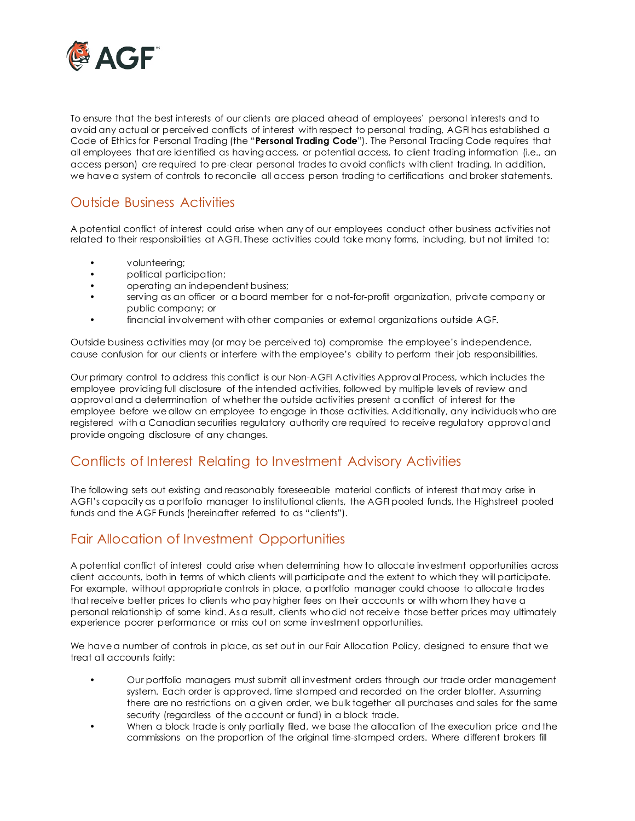

To ensure that the best interests of our clients are placed ahead of employees' personal interests and to avoid any actual or perceived conflicts of interest with respect to personal trading, AGFI has established a Code of Ethics for Personal Trading (the "**Personal Trading Code**"). The Personal Trading Code requires that all employees that are identified as having access, or potential access, to client trading information (i.e., an access person) are required to pre-clear personal trades to avoid conflicts with client trading. In addition, we have a system of controls to reconcile all access person trading to certifications and broker statements.

#### Outside Business Activities

A potential conflict of interest could arise when any of our employees conduct other business activities not related to their responsibilities at AGFI. These activities could take many forms, including, but not limited to:

- volunteering;
- political participation;
- operating an independent business;
- serving as an officer or a board member for a not-for-profit organization, private company or public company; or
- financial involvement with other companies or external organizations outside AGF.

Outside business activities may (or may be perceived to) compromise the employee's independence, cause confusion for our clients or interfere with the employee's ability to perform their job responsibilities.

Our primary control to address this conflict is our Non-AGFI Activities Approval Process, which includes the employee providing full disclosure of the intended activities, followed by multiple levels of review and approval and a determination of whether the outside activities present a conflict of interest for the employee before we allow an employee to engage in those activities. Additionally, any individuals who are registered with a Canadian securities regulatory authority are required to receive regulatory approval and provide ongoing disclosure of any changes.

# Conflicts of Interest Relating to Investment Advisory Activities

The following sets out existing and reasonably foreseeable material conflicts of interest that may arise in AGFI's capacity as a portfolio manager to institutional clients, the AGFI pooled funds, the Highstreet pooled funds and the AGF Funds (hereinafter referred to as "clients").

# Fair Allocation of Investment Opportunities

A potential conflict of interest could arise when determining how to allocate investment opportunities across client accounts, both in terms of which clients will participate and the extent to which they will participate. For example, without appropriate controls in place, a portfolio manager could choose to allocate trades that receive better prices to clients who pay higher fees on their accounts or with whom they have a personal relationship of some kind. As a result, clients who did not receive those better prices may ultimately experience poorer performance or miss out on some investment opportunities.

We have a number of controls in place, as set out in our Fair Allocation Policy, designed to ensure that we treat all accounts fairly:

- Our portfolio managers must submit all investment orders through our trade order management system. Each order is approved, time stamped and recorded on the order blotter. Assuming there are no restrictions on a given order, we bulk together all purchases and sales for the same security (regardless of the account or fund) in a block trade.
	- When a block trade is only partially filed, we base the allocation of the execution price and the commissions on the proportion of the original time-stamped orders. Where different brokers fill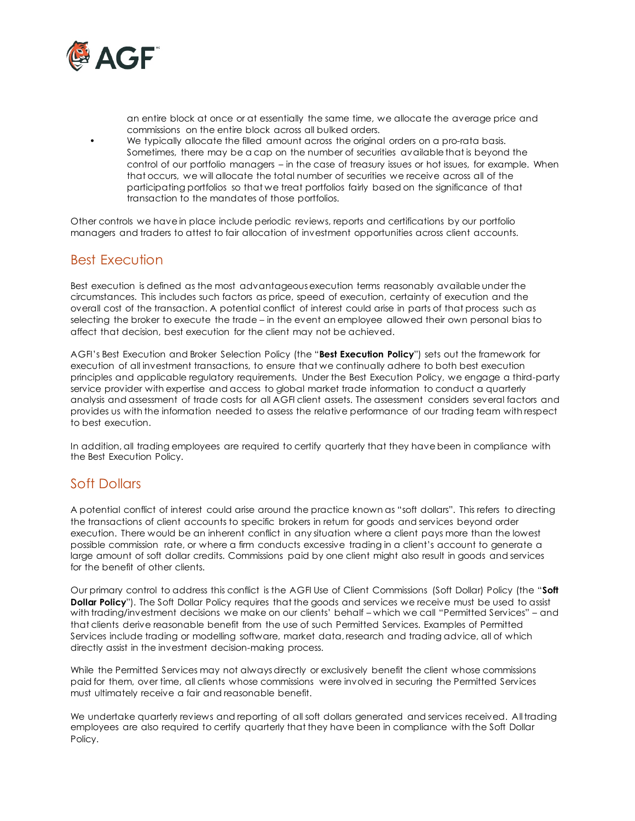

an entire block at once or at essentially the same time, we allocate the average price and commissions on the entire block across all bulked orders.

We typically allocate the filled amount across the original orders on a pro-rata basis. Sometimes, there may be a cap on the number of securities available that is beyond the control of our portfolio managers – in the case of treasury issues or hot issues, for example. When that occurs, we will allocate the total number of securities we receive across all of the participating portfolios so that we treat portfolios fairly based on the significance of that transaction to the mandates of those portfolios.

Other controls we have in place include periodic reviews, reports and certifications by our portfolio managers and traders to attest to fair allocation of investment opportunities across client accounts.

#### Best Execution

Best execution is defined as the most advantageous execution terms reasonably available under the circumstances. This includes such factors as price, speed of execution, certainty of execution and the overall cost of the transaction. A potential conflict of interest could arise in parts of that process such as selecting the broker to execute the trade – in the event an employee allowed their own personal bias to affect that decision, best execution for the client may not be achieved.

AGFI's Best Execution and Broker Selection Policy (the "**Best Execution Policy**") sets out the framework for execution of all investment transactions, to ensure that we continually adhere to both best execution principles and applicable regulatory requirements. Under the Best Execution Policy, we engage a third-party service provider with expertise and access to global market trade information to conduct a quarterly analysis and assessment of trade costs for all AGFI client assets. The assessment considers several factors and provides us with the information needed to assess the relative performance of our trading team with respect to best execution.

In addition, all trading employees are required to certify quarterly that they have been in compliance with the Best Execution Policy.

# Soft Dollars

A potential conflict of interest could arise around the practice known as "soft dollars". This refers to directing the transactions of client accounts to specific brokers in return for goods and services beyond order execution. There would be an inherent conflict in any situation where a client pays more than the lowest possible commission rate, or where a firm conducts excessive trading in a client's account to generate a large amount of soft dollar credits. Commissions paid by one client might also result in goods and services for the benefit of other clients.

Our primary control to address this conflict is the AGFI Use of Client Commissions (Soft Dollar) Policy (the "**Soft Dollar Policy**"). The Soft Dollar Policy requires that the goods and services we receive must be used to assist with trading/investment decisions we make on our clients' behalf – which we call "Permitted Services" – and that clients derive reasonable benefit from the use of such Permitted Services. Examples of Permitted Services include trading or modelling software, market data, research and trading advice, all of which directly assist in the investment decision-making process.

While the Permitted Services may not always directly or exclusively benefit the client whose commissions paid for them, over time, all clients whose commissions were involved in securing the Permitted Services must ultimately receive a fair and reasonable benefit.

We undertake quarterly reviews and reporting of all soft dollars generated and services received. All trading employees are also required to certify quarterly that they have been in compliance with the Soft Dollar Policy.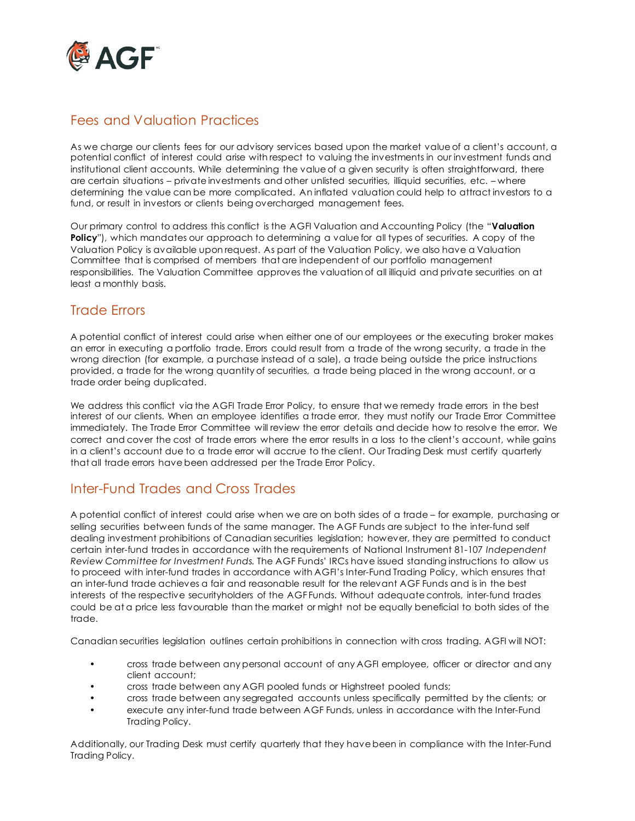

# Fees and Valuation Practices

As we charge our clients fees for our advisory services based upon the market value of a client's account, a potential conflict of interest could arise with respect to valuing the investments in our investment funds and institutional client accounts. While determining the value of a given security is often straightforward, there are certain situations – private investments and other unlisted securities, illiquid securities, etc. – where determining the value can be more complicated. An inflated valuation could help to attract investors to a fund, or result in investors or clients being overcharged management fees.

Our primary control to address this conflict is the AGFI Valuation and Accounting Policy (the "**Valuation Policy**"), which mandates our approach to determining a value for all types of securities. A copy of the Valuation Policy is available upon request. As part of the Valuation Policy, we also have a Valuation Committee that is comprised of members that are independent of our portfolio management responsibilities. The Valuation Committee approves the valuation of all illiquid and private securities on at least a monthly basis.

#### Trade Errors

A potential conflict of interest could arise when either one of our employees or the executing broker makes an error in executing a portfolio trade. Errors could result from a trade of the wrong security, a trade in the wrong direction (for example, a purchase instead of a sale), a trade being outside the price instructions provided, a trade for the wrong quantity of securities, a trade being placed in the wrong account, or a trade order being duplicated.

We address this conflict via the AGFI Trade Error Policy, to ensure that we remedy trade errors in the best interest of our clients. When an employee identifies a trade error, they must notify our Trade Error Committee immediately. The Trade Error Committee will review the error details and decide how to resolve the error. We correct and cover the cost of trade errors where the error results in a loss to the client's account, while gains in a client's account due to a trade error will accrue to the client. Our Trading Desk must certify quarterly that all trade errors have been addressed per the Trade Error Policy.

# Inter-Fund Trades and Cross Trades

A potential conflict of interest could arise when we are on both sides of a trade – for example, purchasing or selling securities between funds of the same manager. The AGF Funds are subject to the inter-fund self dealing investment prohibitions of Canadian securities legislation; however, they are permitted to conduct certain inter-fund trades in accordance with the requirements of National Instrument 81-107 *Independent Review Committee for Investment Funds.* The AGF Funds' IRCs have issued standing instructions to allow us to proceed with inter-fund trades in accordance with AGFI's Inter-Fund Trading Policy, which ensures that an inter-fund trade achieves a fair and reasonable result for the relevant AGF Funds and is in the best interests of the respective securityholders of the AGF Funds. Without adequate controls, inter-fund trades could be at a price less favourable than the market or might not be equally beneficial to both sides of the trade.

Canadian securities legislation outlines certain prohibitions in connection with cross trading. AGFI will NOT:

- cross trade between any personal account of any AGFI employee, officer or director and any client account;
- cross trade between any AGFI pooled funds or Highstreet pooled funds;
- cross trade between any segregated accounts unless specifically permitted by the clients; or
- execute any inter-fund trade between AGF Funds, unless in accordance with the Inter-Fund Trading Policy.

Additionally, our Trading Desk must certify quarterly that they have been in compliance with the Inter-Fund Trading Policy.